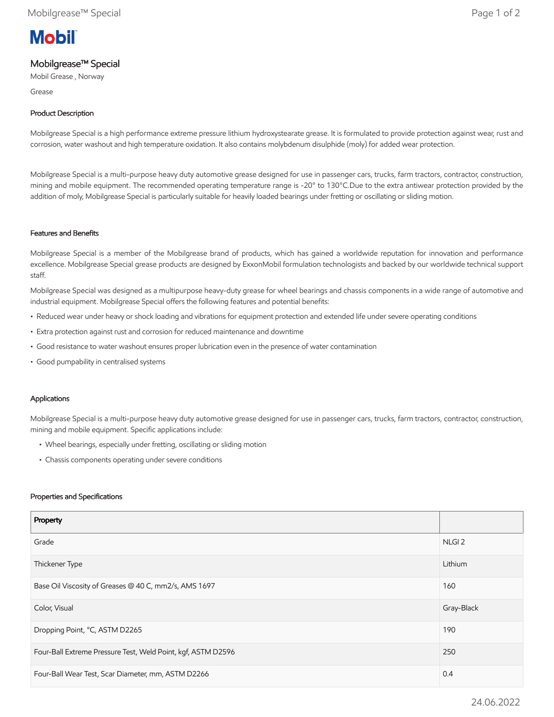# **Mobil**

# Mobilgrease™ Special

Mobil Grease , Norway

Grease

## Product Description

Mobilgrease Special is a high performance extreme pressure lithium hydroxystearate grease. It is formulated to provide protection against wear, rust and corrosion, water washout and high temperature oxidation. It also contains molybdenum disulphide (moly) for added wear protection.

Mobilgrease Special is a multi-purpose heavy duty automotive grease designed for use in passenger cars, trucks, farm tractors, contractor, construction, mining and mobile equipment. The recommended operating temperature range is -20° to 130°C.Due to the extra antiwear protection provided by the addition of moly, Mobilgrease Special is particularly suitable for heavily loaded bearings under fretting or oscillating or sliding motion.

#### Features and Benefits

Mobilgrease Special is a member of the Mobilgrease brand of products, which has gained a worldwide reputation for innovation and performance excellence. Mobilgrease Special grease products are designed by ExxonMobil formulation technologists and backed by our worldwide technical support staff.

Mobilgrease Special was designed as a multipurpose heavy-duty grease for wheel bearings and chassis components in a wide range of automotive and industrial equipment. Mobilgrease Special offers the following features and potential benefits:

- Reduced wear under heavy or shock loading and vibrations for equipment protection and extended life under severe operating conditions
- Extra protection against rust and corrosion for reduced maintenance and downtime
- Good resistance to water washout ensures proper lubrication even in the presence of water contamination
- Good pumpability in centralised systems

### Applications

Mobilgrease Special is a multi-purpose heavy duty automotive grease designed for use in passenger cars, trucks, farm tractors, contractor, construction, mining and mobile equipment. Specific applications include:

- Wheel bearings, especially under fretting, oscillating or sliding motion
- Chassis components operating under severe conditions

#### Properties and Specifications

| Property                                                     |                   |
|--------------------------------------------------------------|-------------------|
| Grade                                                        | NLGI <sub>2</sub> |
| Thickener Type                                               | Lithium           |
| Base Oil Viscosity of Greases @ 40 C, mm2/s, AMS 1697        | 160               |
| Color, Visual                                                | Gray-Black        |
| Dropping Point, °C, ASTM D2265                               | 190               |
| Four-Ball Extreme Pressure Test, Weld Point, kgf, ASTM D2596 | 250               |
| Four-Ball Wear Test, Scar Diameter, mm, ASTM D2266           | 0.4               |